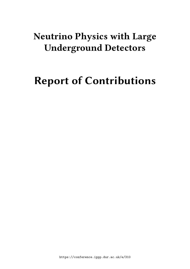# **Neutrino Physics with Large Underground Detectors**

# **Report of Contributions**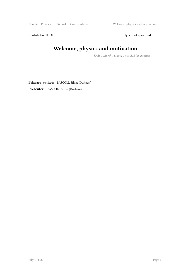Neutrino Physics ... / Report of Contributions Welcome, physics and motivation

Contribution ID: 0 Type: not specified

# **Welcome, physics and motivation**

*Friday, March 11, 2011 11:00 AM (25 minutes)*

**Primary author:** PASCOLI, Silvia (Durham)

**Presenter:** PASCOLI, Silvia (Durham)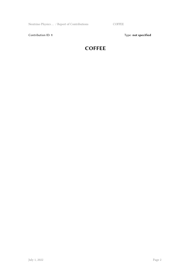Neutrino Physics ... / Report of Contributions COFFEE

Contribution ID: 1 Type: **not specified** 

#### **COFFEE**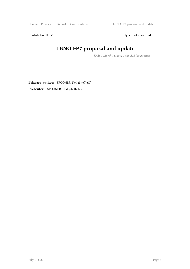Contribution ID: 2 Type: **not specified** 

# **LBNO FP7 proposal and update**

*Friday, March 11, 2011 11:25 AM (20 minutes)*

**Primary author:** SPOONER, Neil (Sheffield) **Presenter:** SPOONER, Neil (Sheffield)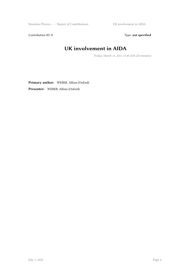Neutrino Physics … / Report of Contributions UK involvement in AIDA

Contribution ID: 3 Type: **not specified** 

## **UK involvement in AIDA**

*Friday, March 11, 2011 11:45 AM (20 minutes)*

**Primary author:** WEBER, Alfons (Oxford)

**Presenter:** WEBER, Alfons (Oxford)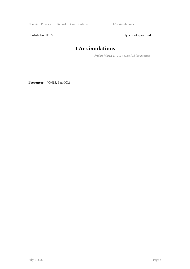Neutrino Physics … / Report of Contributions LAr simulations

Contribution ID: 5 Type: **not specified** 

# **LAr simulations**

*Friday, March 11, 2011 12:05 PM (20 minutes)*

**Presenter:** JONES, Ben (ICL)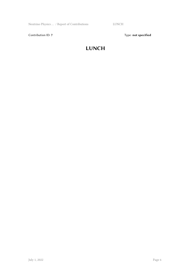Neutrino Physics … / Report of Contributions LUNCH

Contribution ID: 7 Type: **not specified** 

#### **LUNCH**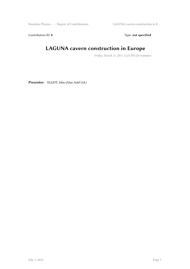Neutrino Physics … / Report of Contributions LAGUNA cavern construction in E …

Contribution ID: 8 Type: **not specified** 

# **LAGUNA cavern construction in Europe**

*Friday, March 11, 2011 12:25 PM (20 minutes)*

**Presenter:** ELLIOT, John (Alan Auld Ltd.)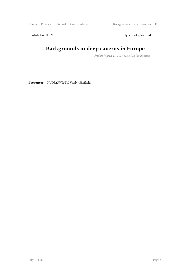Neutrino Physics … / Report of Contributions Backgrounds in deep caverns in E …

Contribution ID: 9 Type: **not specified** 

# **Backgrounds in deep caverns in Europe**

*Friday, March 11, 2011 12:45 PM (20 minutes)*

**Presenter:** KUDRYAVTSEV, Vitaly (Sheffield)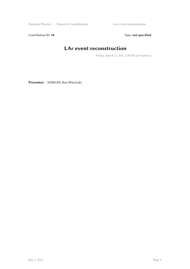Neutrino Physics … / Report of Contributions LAr event reconstruction

Contribution ID: 10 **Type:** not specified

# **LAr event reconstruction**

*Friday, March 11, 2011 2:30 PM (20 minutes)*

**Presenter:** MORGAN, Ben (Warwick)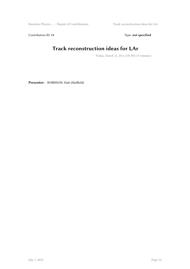Neutrino Physics … / Report of Contributions Track reconstruction ideas for LAr

Contribution ID: 11 Type: **not specified** 

# **Track reconstruction ideas for LAr**

*Friday, March 11, 2011 2:50 PM (15 minutes)*

**Presenter:** ROBINSON, Matt (Sheffield)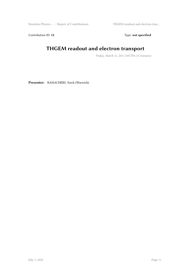Neutrino Physics … / Report of Contributions THGEM readout and electron tran …

Contribution ID: 12 Type: **not specified** 

#### **THGEM readout and electron transport**

*Friday, March 11, 2011 3:05 PM (15 minutes)*

**Presenter:** RAMACHERS, Yorck (Warwick)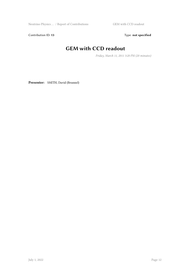Contribution ID: 13 Type: **not specified** 

# **GEM with CCD readout**

*Friday, March 11, 2011 3:20 PM (20 minutes)*

**Presenter:** SMITH, David (Brunnel)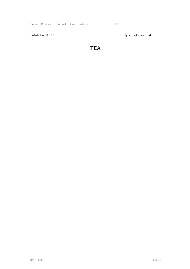Neutrino Physics … / Report of Contributions TEA

Contribution ID: 15 Type: **not specified** 

#### **TEA**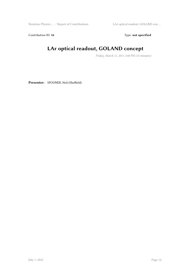Neutrino Physics … / Report of Contributions LAr optical readout, GOLAND con …

Contribution ID: 16 Type: not specified

# **LAr optical readout, GOLAND concept**

*Friday, March 11, 2011 3:40 PM (15 minutes)*

**Presenter:** SPOONER, Neil (Sheffield)